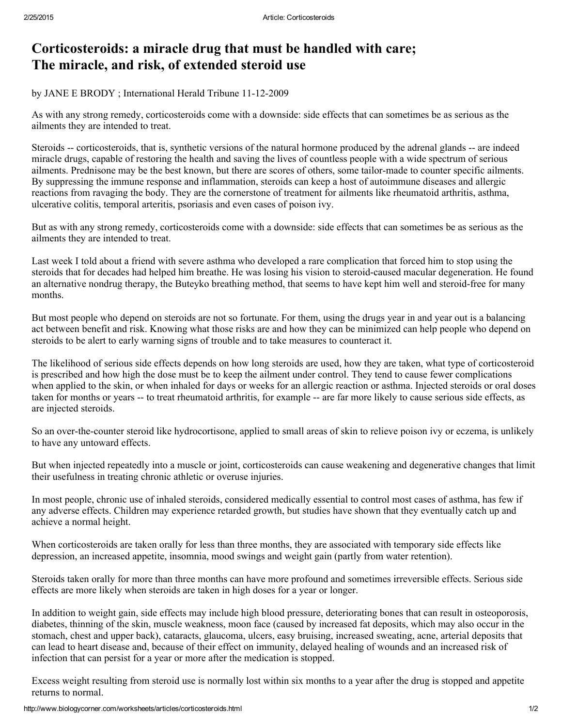## Corticosteroids: a miracle drug that must be handled with care; The miracle, and risk, of extended steroid use

by JANE E BRODY ; International Herald Tribune 11-12-2009

As with any strong remedy, corticosteroids come with a downside: side effects that can sometimes be as serious as the ailments they are intended to treat.

Steroids -- corticosteroids, that is, synthetic versions of the natural hormone produced by the adrenal glands -- are indeed miracle drugs, capable of restoring the health and saving the lives of countless people with a wide spectrum of serious ailments. Prednisone may be the best known, but there are scores of others, some tailormade to counter specific ailments. By suppressing the immune response and inflammation, steroids can keep a host of autoimmune diseases and allergic reactions from ravaging the body. They are the cornerstone of treatment for ailments like rheumatoid arthritis, asthma, ulcerative colitis, temporal arteritis, psoriasis and even cases of poison ivy.

But as with any strong remedy, corticosteroids come with a downside: side effects that can sometimes be as serious as the ailments they are intended to treat.

Last week I told about a friend with severe asthma who developed a rare complication that forced him to stop using the steroids that for decades had helped him breathe. He was losing his vision to steroid-caused macular degeneration. He found an alternative nondrug therapy, the Buteyko breathing method, that seems to have kept him well and steroid-free for many months.

But most people who depend on steroids are not so fortunate. For them, using the drugs year in and year out is a balancing act between benefit and risk. Knowing what those risks are and how they can be minimized can help people who depend on steroids to be alert to early warning signs of trouble and to take measures to counteract it.

The likelihood of serious side effects depends on how long steroids are used, how they are taken, what type of corticosteroid is prescribed and how high the dose must be to keep the ailment under control. They tend to cause fewer complications when applied to the skin, or when inhaled for days or weeks for an allergic reaction or asthma. Injected steroids or oral doses taken for months or years -- to treat rheumatoid arthritis, for example -- are far more likely to cause serious side effects, as are injected steroids.

So an over-the-counter steroid like hydrocortisone, applied to small areas of skin to relieve poison ivy or eczema, is unlikely to have any untoward effects.

But when injected repeatedly into a muscle or joint, corticosteroids can cause weakening and degenerative changes that limit their usefulness in treating chronic athletic or overuse injuries.

In most people, chronic use of inhaled steroids, considered medically essential to control most cases of asthma, has few if any adverse effects. Children may experience retarded growth, but studies have shown that they eventually catch up and achieve a normal height.

When corticosteroids are taken orally for less than three months, they are associated with temporary side effects like depression, an increased appetite, insomnia, mood swings and weight gain (partly from water retention).

Steroids taken orally for more than three months can have more profound and sometimes irreversible effects. Serious side effects are more likely when steroids are taken in high doses for a year or longer.

In addition to weight gain, side effects may include high blood pressure, deteriorating bones that can result in osteoporosis, diabetes, thinning of the skin, muscle weakness, moon face (caused by increased fat deposits, which may also occur in the stomach, chest and upper back), cataracts, glaucoma, ulcers, easy bruising, increased sweating, acne, arterial deposits that can lead to heart disease and, because of their effect on immunity, delayed healing of wounds and an increased risk of infection that can persist for a year or more after the medication is stopped.

Excess weight resulting from steroid use is normally lost within six months to a year after the drug is stopped and appetite returns to normal.